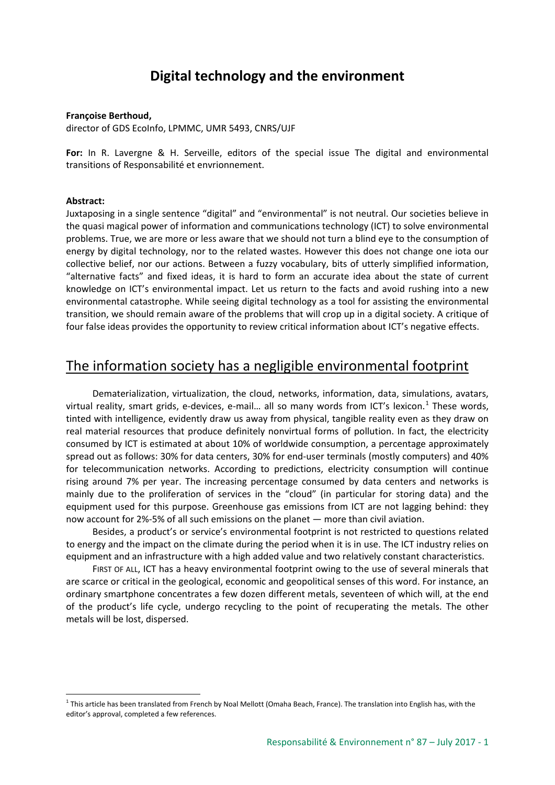# **Digital technology and the environment**

#### **Françoise Berthoud,**

director of GDS EcoInfo, LPMMC, UMR 5493, CNRS/UJF

**For:** In R. Lavergne & H. Serveille, editors of the special issue The digital and environmental transitions of Responsabilité et envrionnement.

#### **Abstract:**

Juxtaposing in a single sentence "digital" and "environmental" is not neutral. Our societies believe in the quasi magical power of information and communications technology (ICT) to solve environmental problems. True, we are more or less aware that we should not turn a blind eye to the consumption of energy by digital technology, nor to the related wastes. However this does not change one iota our collective belief, nor our actions. Between a fuzzy vocabulary, bits of utterly simplified information, "alternative facts" and fixed ideas, it is hard to form an accurate idea about the state of current knowledge on ICT's environmental impact. Let us return to the facts and avoid rushing into a new environmental catastrophe. While seeing digital technology as a tool for assisting the environmental transition, we should remain aware of the problems that will crop up in a digital society. A critique of four false ideas provides the opportunity to review critical information about ICT's negative effects.

### The information society has a negligible environmental footprint

Dematerialization, virtualization, the cloud, networks, information, data, simulations, avatars, virtual reality, smart grids, e-devices, e-mail... all so many words from ICT's lexicon.<sup>[1](#page-0-0)</sup> These words, tinted with intelligence, evidently draw us away from physical, tangible reality even as they draw on real material resources that produce definitely nonvirtual forms of pollution. In fact, the electricity consumed by ICT is estimated at about 10% of worldwide consumption, a percentage approximately spread out as follows: 30% for data centers, 30% for end-user terminals (mostly computers) and 40% for telecommunication networks. According to predictions, electricity consumption will continue rising around 7% per year. The increasing percentage consumed by data centers and networks is mainly due to the proliferation of services in the "cloud" (in particular for storing data) and the equipment used for this purpose. Greenhouse gas emissions from ICT are not lagging behind: they now account for 2%-5% of all such emissions on the planet — more than civil aviation.

Besides, a product's or service's environmental footprint is not restricted to questions related to energy and the impact on the climate during the period when it is in use. The ICT industry relies on equipment and an infrastructure with a high added value and two relatively constant characteristics.

FIRST OF ALL, ICT has a heavy environmental footprint owing to the use of several minerals that are scarce or critical in the geological, economic and geopolitical senses of this word. For instance, an ordinary smartphone concentrates a few dozen different metals, seventeen of which will, at the end of the product's life cycle, undergo recycling to the point of recuperating the metals. The other metals will be lost, dispersed.

<span id="page-0-0"></span> $1$  This article has been translated from French by Noal Mellott (Omaha Beach, France). The translation into English has, with the editor's approval, completed a few references.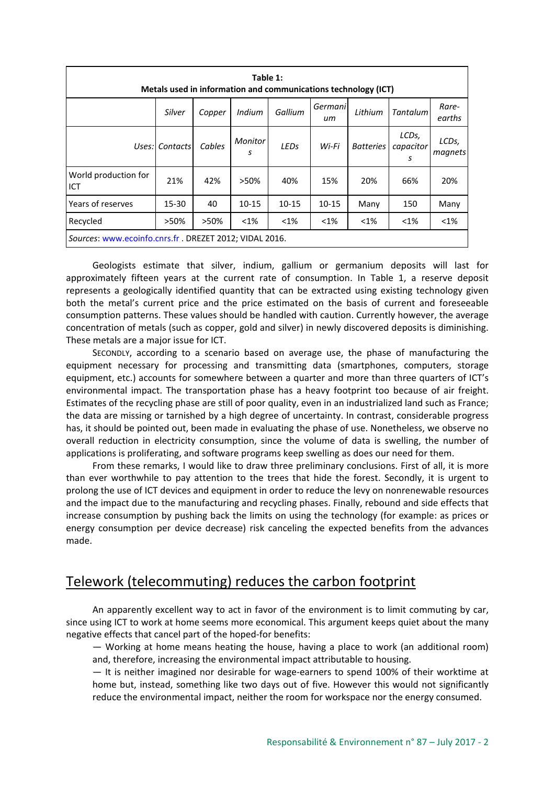| Table 1:<br>Metals used in information and communications technology (ICT) |          |        |              |           |               |                  |                         |                  |
|----------------------------------------------------------------------------|----------|--------|--------------|-----------|---------------|------------------|-------------------------|------------------|
|                                                                            | Silver   | Copper | Indium       | Gallium   | Germani<br>иm | Lithium          | <b>Tantalum</b>         | Rare-<br>earths  |
| Uses:                                                                      | Contacts | Cables | Monitor<br>S | LEDs      | Wi-Fi         | <b>Batteries</b> | LCDs,<br>capacitor<br>s | LCDs,<br>magnets |
| World production for<br>ICT                                                | 21%      | 42%    | >50%         | 40%       | 15%           | 20%              | 66%                     | 20%              |
| Years of reserves                                                          | 15-30    | 40     | $10 - 15$    | $10 - 15$ | $10 - 15$     | Many             | 150                     | Many             |
| Recycled                                                                   | >50%     | >50%   | $< 1\%$      | $<$ 1%    | $< 1\%$       | $< 1\%$          | $< 1\%$                 | $< 1\%$          |
| Sources: www.ecoinfo.cnrs.fr . DREZET 2012; VIDAL 2016.                    |          |        |              |           |               |                  |                         |                  |

Geologists estimate that silver, indium, gallium or germanium deposits will last for approximately fifteen years at the current rate of consumption. In Table 1, a reserve deposit represents a geologically identified quantity that can be extracted using existing technology given both the metal's current price and the price estimated on the basis of current and foreseeable consumption patterns. These values should be handled with caution. Currently however, the average concentration of metals (such as copper, gold and silver) in newly discovered deposits is diminishing. These metals are a major issue for ICT.

SECONDLY, according to a scenario based on average use, the phase of manufacturing the equipment necessary for processing and transmitting data (smartphones, computers, storage equipment, etc.) accounts for somewhere between a quarter and more than three quarters of ICT's environmental impact. The transportation phase has a heavy footprint too because of air freight. Estimates of the recycling phase are still of poor quality, even in an industrialized land such as France; the data are missing or tarnished by a high degree of uncertainty. In contrast, considerable progress has, it should be pointed out, been made in evaluating the phase of use. Nonetheless, we observe no overall reduction in electricity consumption, since the volume of data is swelling, the number of applications is proliferating, and software programs keep swelling as does our need for them.

From these remarks, I would like to draw three preliminary conclusions. First of all, it is more than ever worthwhile to pay attention to the trees that hide the forest. Secondly, it is urgent to prolong the use of ICT devices and equipment in order to reduce the levy on nonrenewable resources and the impact due to the manufacturing and recycling phases. Finally, rebound and side effects that increase consumption by pushing back the limits on using the technology (for example: as prices or energy consumption per device decrease) risk canceling the expected benefits from the advances made.

## Telework (telecommuting) reduces the carbon footprint

An apparently excellent way to act in favor of the environment is to limit commuting by car, since using ICT to work at home seems more economical. This argument keeps quiet about the many negative effects that cancel part of the hoped-for benefits:

— Working at home means heating the house, having a place to work (an additional room) and, therefore, increasing the environmental impact attributable to housing.

— It is neither imagined nor desirable for wage-earners to spend 100% of their worktime at home but, instead, something like two days out of five. However this would not significantly reduce the environmental impact, neither the room for workspace nor the energy consumed.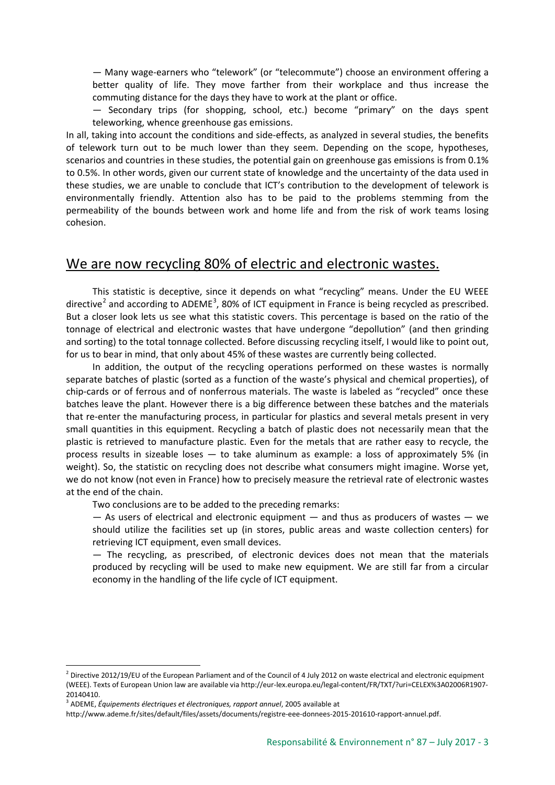— Many wage-earners who "telework" (or "telecommute") choose an environment offering a better quality of life. They move farther from their workplace and thus increase the commuting distance for the days they have to work at the plant or office.

— Secondary trips (for shopping, school, etc.) become "primary" on the days spent teleworking, whence greenhouse gas emissions.

In all, taking into account the conditions and side-effects, as analyzed in several studies, the benefits of telework turn out to be much lower than they seem. Depending on the scope, hypotheses, scenarios and countries in these studies, the potential gain on greenhouse gas emissions is from 0.1% to 0.5%. In other words, given our current state of knowledge and the uncertainty of the data used in these studies, we are unable to conclude that ICT's contribution to the development of telework is environmentally friendly. Attention also has to be paid to the problems stemming from the permeability of the bounds between work and home life and from the risk of work teams losing cohesion.

### We are now recycling 80% of electric and electronic wastes.

This statistic is deceptive, since it depends on what "recycling" means. Under the EU WEEE directive<sup>[2](#page-2-0)</sup> and according to ADEME<sup>[3](#page-2-1)</sup>, 80% of ICT equipment in France is being recycled as prescribed. But a closer look lets us see what this statistic covers. This percentage is based on the ratio of the tonnage of electrical and electronic wastes that have undergone "depollution" (and then grinding and sorting) to the total tonnage collected. Before discussing recycling itself, I would like to point out, for us to bear in mind, that only about 45% of these wastes are currently being collected.

In addition, the output of the recycling operations performed on these wastes is normally separate batches of plastic (sorted as a function of the waste's physical and chemical properties), of chip-cards or of ferrous and of nonferrous materials. The waste is labeled as "recycled" once these batches leave the plant. However there is a big difference between these batches and the materials that re-enter the manufacturing process, in particular for plastics and several metals present in very small quantities in this equipment. Recycling a batch of plastic does not necessarily mean that the plastic is retrieved to manufacture plastic. Even for the metals that are rather easy to recycle, the process results in sizeable loses — to take aluminum as example: a loss of approximately 5% (in weight). So, the statistic on recycling does not describe what consumers might imagine. Worse yet, we do not know (not even in France) how to precisely measure the retrieval rate of electronic wastes at the end of the chain.

Two conclusions are to be added to the preceding remarks:

 $-$  As users of electrical and electronic equipment  $-$  and thus as producers of wastes  $-$  we should utilize the facilities set up (in stores, public areas and waste collection centers) for retrieving ICT equipment, even small devices.

— The recycling, as prescribed, of electronic devices does not mean that the materials produced by recycling will be used to make new equipment. We are still far from a circular economy in the handling of the life cycle of ICT equipment.

<span id="page-2-0"></span> $^2$  Directive 2012/19/EU of the European Parliament and of the Council of 4 July 2012 on waste electrical and electronic equipment (WEEE). Texts of European Union law are available via http://eur-lex.europa.eu/legal-content/FR/TXT/?uri=CELEX%3A02006R1907- 20140410.

<span id="page-2-1"></span><sup>3</sup> ADEME, *Équipements électriques et électroniques, rapport annuel*, 2005 available at

http://www.ademe.fr/sites/default/files/assets/documents/registre-eee-donnees-2015-201610-rapport-annuel.pdf.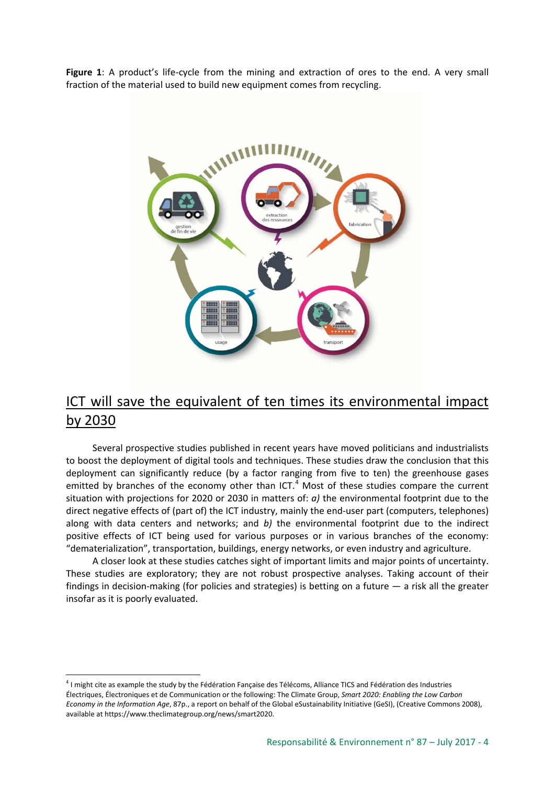**Figure 1**: A product's life-cycle from the mining and extraction of ores to the end. A very small fraction of the material used to build new equipment comes from recycling.



# ICT will save the equivalent of ten times its environmental impact by 2030

Several prospective studies published in recent years have moved politicians and industrialists to boost the deployment of digital tools and techniques. These studies draw the conclusion that this deployment can significantly reduce (by a factor ranging from five to ten) the greenhouse gases emitted by branches of the economy other than ICT.<sup>[4](#page-3-0)</sup> Most of these studies compare the current situation with projections for 2020 or 2030 in matters of: *a)* the environmental footprint due to the direct negative effects of (part of) the ICT industry, mainly the end-user part (computers, telephones) along with data centers and networks; and *b)* the environmental footprint due to the indirect positive effects of ICT being used for various purposes or in various branches of the economy: "dematerialization", transportation, buildings, energy networks, or even industry and agriculture.

A closer look at these studies catches sight of important limits and major points of uncertainty. These studies are exploratory; they are not robust prospective analyses. Taking account of their findings in decision-making (for policies and strategies) is betting on a future — a risk all the greater insofar as it is poorly evaluated.

<span id="page-3-0"></span> $4$  I might cite as example the study by the Fédération Fançaise des Télécoms, Alliance TICS and Fédération des Industries Électriques, Électroniques et de Communication or the following: The Climate Group, *Smart 2020: Enabling the Low Carbon Economy in the Information Age*, 87p., a report on behalf of the Global eSustainability Initiative (GeSI), (Creative Commons 2008), available at https://www.theclimategroup.org/news/smart2020.